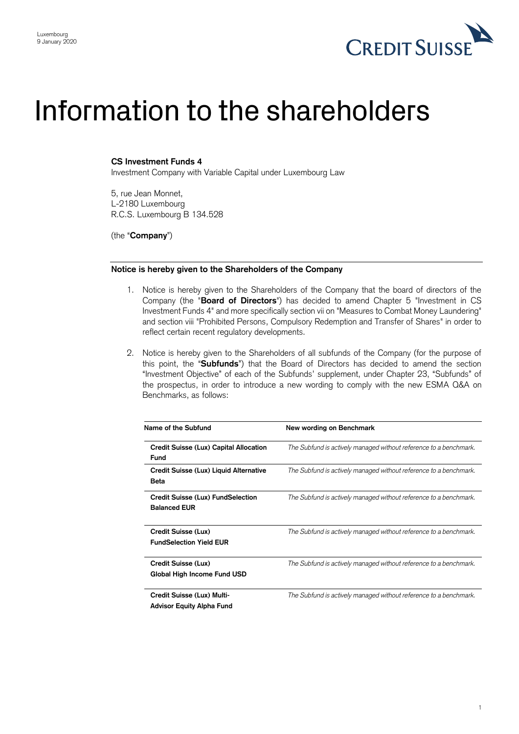

## Information to the shareholders

## **CS Investment Funds 4**

Investment Company with Variable Capital under Luxembourg Law

5, rue Jean Monnet, L-2180 Luxembourg R.C.S. Luxembourg B 134.528

(the "**Company**")

## **Notice is hereby given to the Shareholders of the Company**

- 1. Notice is hereby given to the Shareholders of the Company that the board of directors of the Company (the "**Board of Directors**") has decided to amend Chapter 5 "Investment in CS Investment Funds 4" and more specifically section vii on "Measures to Combat Money Laundering" and section viii "Prohibited Persons, Compulsory Redemption and Transfer of Shares" in order to reflect certain recent regulatory developments.
- 2. Notice is hereby given to the Shareholders of all subfunds of the Company (for the purpose of this point, the "**Subfunds**") that the Board of Directors has decided to amend the section "Investment Objective" of each of the Subfunds' supplement, under Chapter 23, "Subfunds" of the prospectus, in order to introduce a new wording to comply with the new ESMA Q&A on Benchmarks, as follows:

| Name of the Subfund                                            | New wording on Benchmark                                          |
|----------------------------------------------------------------|-------------------------------------------------------------------|
| Credit Suisse (Lux) Capital Allocation<br><b>Fund</b>          | The Subfund is actively managed without reference to a benchmark. |
| Credit Suisse (Lux) Liquid Alternative<br>Beta                 | The Subfund is actively managed without reference to a benchmark. |
| Credit Suisse (Lux) FundSelection<br><b>Balanced EUR</b>       | The Subfund is actively managed without reference to a benchmark. |
| Credit Suisse (Lux)<br><b>FundSelection Yield EUR</b>          | The Subfund is actively managed without reference to a benchmark. |
| Credit Suisse (Lux)<br>Global High Income Fund USD             | The Subfund is actively managed without reference to a benchmark. |
| Credit Suisse (Lux) Multi-<br><b>Advisor Equity Alpha Fund</b> | The Subfund is actively managed without reference to a benchmark. |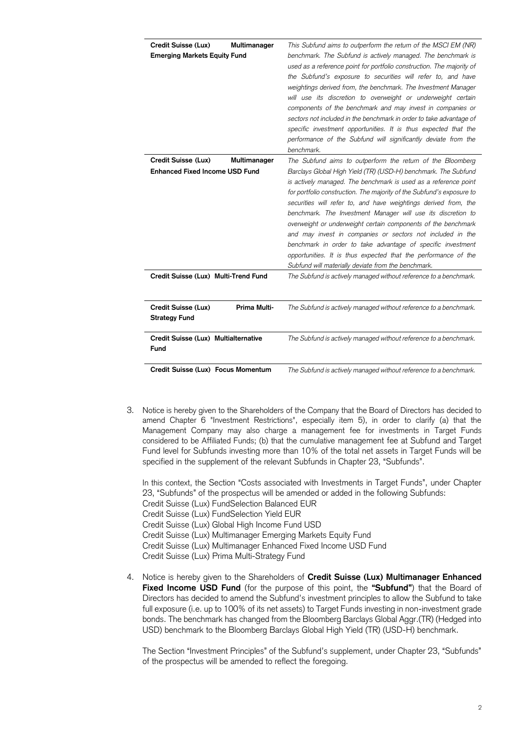| Credit Suisse (Lux)<br>Multimanager<br><b>Emerging Markets Equity Fund</b>   | This Subfund aims to outperform the return of the MSCI EM (NR)<br>benchmark. The Subfund is actively managed. The benchmark is<br>used as a reference point for portfolio construction. The majority of<br>the Subfund's exposure to securities will refer to, and have<br>weightings derived from, the benchmark. The Investment Manager<br>will use its discretion to overweight or underweight certain<br>components of the benchmark and may invest in companies or<br>sectors not included in the benchmark in order to take advantage of<br>specific investment opportunities. It is thus expected that the<br>performance of the Subfund will significantly deviate from the<br>benchmark.                                  |
|------------------------------------------------------------------------------|------------------------------------------------------------------------------------------------------------------------------------------------------------------------------------------------------------------------------------------------------------------------------------------------------------------------------------------------------------------------------------------------------------------------------------------------------------------------------------------------------------------------------------------------------------------------------------------------------------------------------------------------------------------------------------------------------------------------------------|
| Credit Suisse (Lux)<br>Multimanager<br><b>Enhanced Fixed Income USD Fund</b> | The Subfund aims to outperform the return of the Bloomberg<br>Barclays Global High Yield (TR) (USD-H) benchmark. The Subfund<br>is actively managed. The benchmark is used as a reference point<br>for portfolio construction. The majority of the Subfund's exposure to<br>securities will refer to, and have weightings derived from, the<br>benchmark. The Investment Manager will use its discretion to<br>overweight or underweight certain components of the benchmark<br>and may invest in companies or sectors not included in the<br>benchmark in order to take advantage of specific investment<br>opportunities. It is thus expected that the performance of the<br>Subfund will materially deviate from the benchmark. |
| Credit Suisse (Lux) Multi-Trend Fund                                         | The Subfund is actively managed without reference to a benchmark.                                                                                                                                                                                                                                                                                                                                                                                                                                                                                                                                                                                                                                                                  |
| Prima Multi-<br>Credit Suisse (Lux)<br><b>Strategy Fund</b>                  | The Subfund is actively managed without reference to a benchmark.                                                                                                                                                                                                                                                                                                                                                                                                                                                                                                                                                                                                                                                                  |
| Credit Suisse (Lux) Multialternative<br>Fund                                 | The Subfund is actively managed without reference to a benchmark.                                                                                                                                                                                                                                                                                                                                                                                                                                                                                                                                                                                                                                                                  |
| Credit Suisse (Lux) Focus Momentum                                           | The Subfund is actively managed without reference to a benchmark.                                                                                                                                                                                                                                                                                                                                                                                                                                                                                                                                                                                                                                                                  |

3. Notice is hereby given to the Shareholders of the Company that the Board of Directors has decided to amend Chapter 6 "Investment Restrictions", especially item 5), in order to clarify (a) that the Management Company may also charge a management fee for investments in Target Funds considered to be Affiliated Funds; (b) that the cumulative management fee at Subfund and Target Fund level for Subfunds investing more than 10% of the total net assets in Target Funds will be specified in the supplement of the relevant Subfunds in Chapter 23, "Subfunds".

In this context, the Section "Costs associated with Investments in Target Funds", under Chapter 23, "Subfunds" of the prospectus will be amended or added in the following Subfunds:

Credit Suisse (Lux) FundSelection Balanced EUR

Credit Suisse (Lux) FundSelection Yield EUR

Credit Suisse (Lux) Global High Income Fund USD

- Credit Suisse (Lux) Multimanager Emerging Markets Equity Fund
- Credit Suisse (Lux) Multimanager Enhanced Fixed Income USD Fund
- Credit Suisse (Lux) Prima Multi-Strategy Fund
- 4. Notice is hereby given to the Shareholders of **Credit Suisse (Lux) Multimanager Enhanced Fixed Income USD Fund** (for the purpose of this point, the **"Subfund"**) that the Board of Directors has decided to amend the Subfund's investment principles to allow the Subfund to take full exposure (i.e. up to 100% of its net assets) to Target Funds investing in non-investment grade bonds. The benchmark has changed from the Bloomberg Barclays Global Aggr.(TR) (Hedged into USD) benchmark to the Bloomberg Barclays Global High Yield (TR) (USD-H) benchmark.

The Section "Investment Principles" of the Subfund's supplement, under Chapter 23, "Subfunds" of the prospectus will be amended to reflect the foregoing.